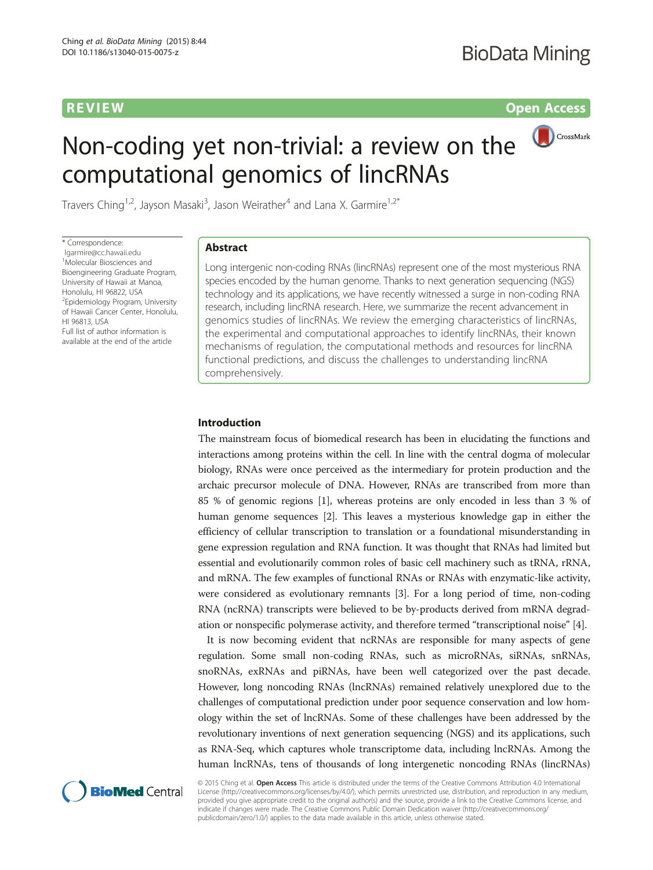### **REVIEW REVIEW CONSTRUCTER CONSTRUCTION**

# CrossMark

## Non-coding yet non-trivial: a review on the computational genomics of lincRNAs

Travers Ching<sup>1,2</sup>, Jayson Masaki<sup>3</sup>, Jason Weirather<sup>4</sup> and Lana X. Garmire<sup>1,2\*</sup>

\* Correspondence: [lgarmire@cc.hawaii.edu](mailto:lgarmire@cc.hawaii.edu) <sup>1</sup>Molecular Biosciences and Bioengineering Graduate Program, University of Hawaii at Manoa, Honolulu, HI 96822, USA <sup>2</sup> Epidemiology Program, University of Hawaii Cancer Center, Honolulu, HI 96813, USA Full list of author information is available at the end of the article

#### Abstract

Long intergenic non-coding RNAs (lincRNAs) represent one of the most mysterious RNA species encoded by the human genome. Thanks to next generation sequencing (NGS) technology and its applications, we have recently witnessed a surge in non-coding RNA research, including lincRNA research. Here, we summarize the recent advancement in genomics studies of lincRNAs. We review the emerging characteristics of lincRNAs, the experimental and computational approaches to identify lincRNAs, their known mechanisms of regulation, the computational methods and resources for lincRNA functional predictions, and discuss the challenges to understanding lincRNA comprehensively.

#### Introduction

The mainstream focus of biomedical research has been in elucidating the functions and interactions among proteins within the cell. In line with the central dogma of molecular biology, RNAs were once perceived as the intermediary for protein production and the archaic precursor molecule of DNA. However, RNAs are transcribed from more than 85 % of genomic regions [\[1](#page-9-0)], whereas proteins are only encoded in less than 3 % of human genome sequences [[2\]](#page-9-0). This leaves a mysterious knowledge gap in either the efficiency of cellular transcription to translation or a foundational misunderstanding in gene expression regulation and RNA function. It was thought that RNAs had limited but essential and evolutionarily common roles of basic cell machinery such as tRNA, rRNA, and mRNA. The few examples of functional RNAs or RNAs with enzymatic-like activity, were considered as evolutionary remnants [\[3](#page-9-0)]. For a long period of time, non-coding RNA (ncRNA) transcripts were believed to be by-products derived from mRNA degradation or nonspecific polymerase activity, and therefore termed "transcriptional noise" [[4](#page-9-0)].

It is now becoming evident that ncRNAs are responsible for many aspects of gene regulation. Some small non-coding RNAs, such as microRNAs, siRNAs, snRNAs, snoRNAs, exRNAs and piRNAs, have been well categorized over the past decade. However, long noncoding RNAs (lncRNAs) remained relatively unexplored due to the challenges of computational prediction under poor sequence conservation and low homology within the set of lncRNAs. Some of these challenges have been addressed by the revolutionary inventions of next generation sequencing (NGS) and its applications, such as RNA-Seq, which captures whole transcriptome data, including lncRNAs. Among the human lncRNAs, tens of thousands of long intergenetic noncoding RNAs (lincRNAs)



© 2015 Ching et al. Open Access This article is distributed under the terms of the Creative Commons Attribution 4.0 International License ([http://creativecommons.org/licenses/by/4.0/\)](http://creativecommons.org/licenses/by/4.0/), which permits unrestricted use, distribution, and reproduction in any medium, provided you give appropriate credit to the original author(s) and the source, provide a link to the Creative Commons license, and indicate if changes were made. The Creative Commons Public Domain Dedication waiver ([http://creativecommons.org/](http://creativecommons.org/publicdomain/zero/1.0/) [publicdomain/zero/1.0/\)](http://creativecommons.org/publicdomain/zero/1.0/) applies to the data made available in this article, unless otherwise stated.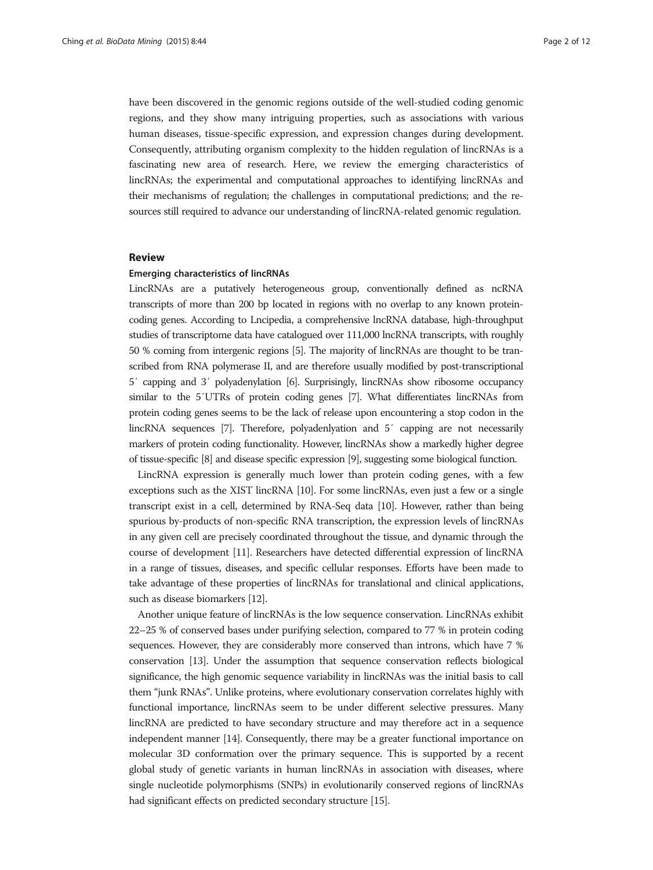have been discovered in the genomic regions outside of the well-studied coding genomic regions, and they show many intriguing properties, such as associations with various human diseases, tissue-specific expression, and expression changes during development. Consequently, attributing organism complexity to the hidden regulation of lincRNAs is a fascinating new area of research. Here, we review the emerging characteristics of lincRNAs; the experimental and computational approaches to identifying lincRNAs and their mechanisms of regulation; the challenges in computational predictions; and the resources still required to advance our understanding of lincRNA-related genomic regulation.

#### Review

#### Emerging characteristics of lincRNAs

LincRNAs are a putatively heterogeneous group, conventionally defined as ncRNA transcripts of more than 200 bp located in regions with no overlap to any known proteincoding genes. According to Lncipedia, a comprehensive lncRNA database, high-throughput studies of transcriptome data have catalogued over 111,000 lncRNA transcripts, with roughly 50 % coming from intergenic regions [\[5\]](#page-9-0). The majority of lincRNAs are thought to be transcribed from RNA polymerase II, and are therefore usually modified by post-transcriptional 5′ capping and 3′ polyadenylation [\[6\]](#page-9-0). Surprisingly, lincRNAs show ribosome occupancy similar to the 5′UTRs of protein coding genes [\[7](#page-9-0)]. What differentiates lincRNAs from protein coding genes seems to be the lack of release upon encountering a stop codon in the lincRNA sequences [\[7\]](#page-9-0). Therefore, polyadenlyation and 5′ capping are not necessarily markers of protein coding functionality. However, lincRNAs show a markedly higher degree of tissue-specific [\[8](#page-9-0)] and disease specific expression [\[9\]](#page-9-0), suggesting some biological function.

LincRNA expression is generally much lower than protein coding genes, with a few exceptions such as the XIST lincRNA [[10](#page-9-0)]. For some lincRNAs, even just a few or a single transcript exist in a cell, determined by RNA-Seq data [\[10\]](#page-9-0). However, rather than being spurious by-products of non-specific RNA transcription, the expression levels of lincRNAs in any given cell are precisely coordinated throughout the tissue, and dynamic through the course of development [\[11\]](#page-9-0). Researchers have detected differential expression of lincRNA in a range of tissues, diseases, and specific cellular responses. Efforts have been made to take advantage of these properties of lincRNAs for translational and clinical applications, such as disease biomarkers [\[12\]](#page-9-0).

Another unique feature of lincRNAs is the low sequence conservation. LincRNAs exhibit 22–25 % of conserved bases under purifying selection, compared to 77 % in protein coding sequences. However, they are considerably more conserved than introns, which have 7 % conservation [[13](#page-9-0)]. Under the assumption that sequence conservation reflects biological significance, the high genomic sequence variability in lincRNAs was the initial basis to call them "junk RNAs". Unlike proteins, where evolutionary conservation correlates highly with functional importance, lincRNAs seem to be under different selective pressures. Many lincRNA are predicted to have secondary structure and may therefore act in a sequence independent manner [[14](#page-9-0)]. Consequently, there may be a greater functional importance on molecular 3D conformation over the primary sequence. This is supported by a recent global study of genetic variants in human lincRNAs in association with diseases, where single nucleotide polymorphisms (SNPs) in evolutionarily conserved regions of lincRNAs had significant effects on predicted secondary structure [\[15\]](#page-9-0).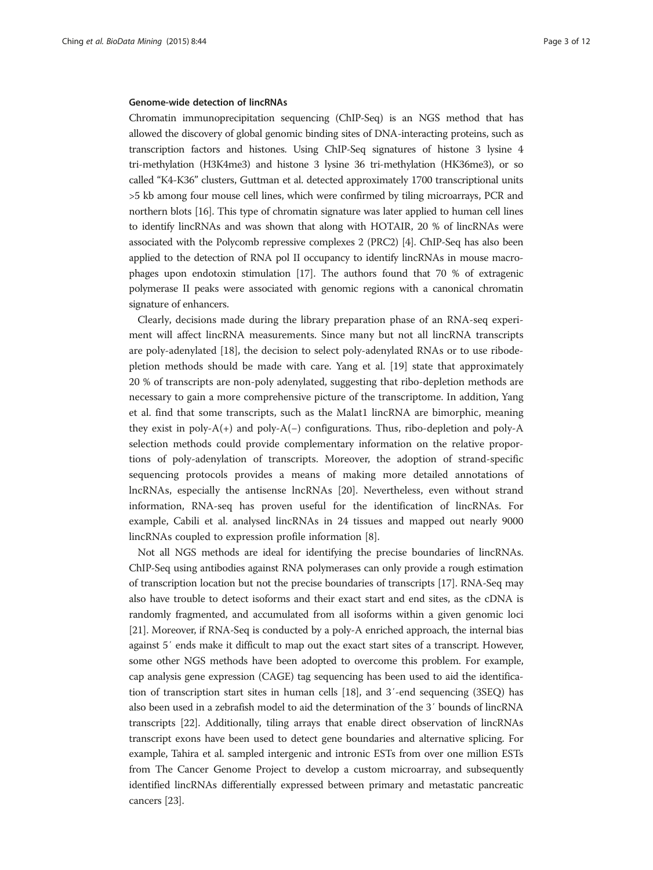#### Genome-wide detection of lincRNAs

Chromatin immunoprecipitation sequencing (ChIP-Seq) is an NGS method that has allowed the discovery of global genomic binding sites of DNA-interacting proteins, such as transcription factors and histones. Using ChIP-Seq signatures of histone 3 lysine 4 tri-methylation (H3K4me3) and histone 3 lysine 36 tri-methylation (HK36me3), or so called "K4-K36" clusters, Guttman et al. detected approximately 1700 transcriptional units >5 kb among four mouse cell lines, which were confirmed by tiling microarrays, PCR and northern blots [[16](#page-9-0)]. This type of chromatin signature was later applied to human cell lines to identify lincRNAs and was shown that along with HOTAIR, 20 % of lincRNAs were associated with the Polycomb repressive complexes 2 (PRC2) [[4\]](#page-9-0). ChIP-Seq has also been applied to the detection of RNA pol II occupancy to identify lincRNAs in mouse macrophages upon endotoxin stimulation [\[17\]](#page-9-0). The authors found that 70 % of extragenic polymerase II peaks were associated with genomic regions with a canonical chromatin signature of enhancers.

Clearly, decisions made during the library preparation phase of an RNA-seq experiment will affect lincRNA measurements. Since many but not all lincRNA transcripts are poly-adenylated [\[18\]](#page-9-0), the decision to select poly-adenylated RNAs or to use ribodepletion methods should be made with care. Yang et al. [[19\]](#page-9-0) state that approximately 20 % of transcripts are non-poly adenylated, suggesting that ribo-depletion methods are necessary to gain a more comprehensive picture of the transcriptome. In addition, Yang et al. find that some transcripts, such as the Malat1 lincRNA are bimorphic, meaning they exist in poly- $A(+)$  and poly- $A(-)$  configurations. Thus, ribo-depletion and poly- $A$ selection methods could provide complementary information on the relative proportions of poly-adenylation of transcripts. Moreover, the adoption of strand-specific sequencing protocols provides a means of making more detailed annotations of lncRNAs, especially the antisense lncRNAs [\[20](#page-9-0)]. Nevertheless, even without strand information, RNA-seq has proven useful for the identification of lincRNAs. For example, Cabili et al. analysed lincRNAs in 24 tissues and mapped out nearly 9000 lincRNAs coupled to expression profile information [\[8](#page-9-0)].

Not all NGS methods are ideal for identifying the precise boundaries of lincRNAs. ChIP-Seq using antibodies against RNA polymerases can only provide a rough estimation of transcription location but not the precise boundaries of transcripts [[17](#page-9-0)]. RNA-Seq may also have trouble to detect isoforms and their exact start and end sites, as the cDNA is randomly fragmented, and accumulated from all isoforms within a given genomic loci [[21](#page-10-0)]. Moreover, if RNA-Seq is conducted by a poly-A enriched approach, the internal bias against 5′ ends make it difficult to map out the exact start sites of a transcript. However, some other NGS methods have been adopted to overcome this problem. For example, cap analysis gene expression (CAGE) tag sequencing has been used to aid the identification of transcription start sites in human cells [\[18\]](#page-9-0), and 3′-end sequencing (3SEQ) has also been used in a zebrafish model to aid the determination of the 3′ bounds of lincRNA transcripts [[22](#page-10-0)]. Additionally, tiling arrays that enable direct observation of lincRNAs transcript exons have been used to detect gene boundaries and alternative splicing. For example, Tahira et al. sampled intergenic and intronic ESTs from over one million ESTs from The Cancer Genome Project to develop a custom microarray, and subsequently identified lincRNAs differentially expressed between primary and metastatic pancreatic cancers [\[23\]](#page-10-0).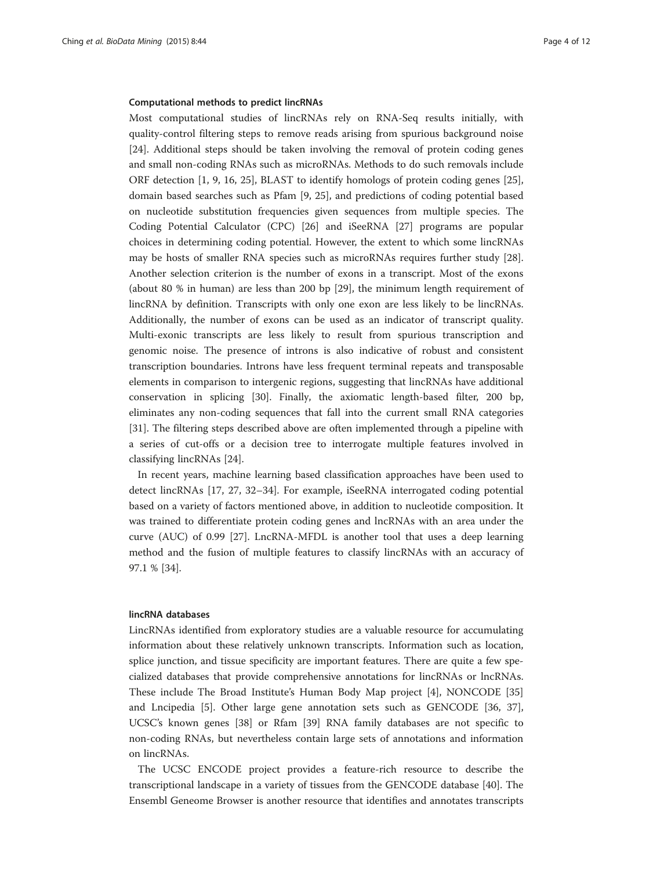#### Computational methods to predict lincRNAs

Most computational studies of lincRNAs rely on RNA-Seq results initially, with quality-control filtering steps to remove reads arising from spurious background noise [[24\]](#page-10-0). Additional steps should be taken involving the removal of protein coding genes and small non-coding RNAs such as microRNAs. Methods to do such removals include ORF detection [[1, 9, 16](#page-9-0), [25](#page-10-0)], BLAST to identify homologs of protein coding genes [[25](#page-10-0)], domain based searches such as Pfam [\[9,](#page-9-0) [25](#page-10-0)], and predictions of coding potential based on nucleotide substitution frequencies given sequences from multiple species. The Coding Potential Calculator (CPC) [\[26\]](#page-10-0) and iSeeRNA [[27\]](#page-10-0) programs are popular choices in determining coding potential. However, the extent to which some lincRNAs may be hosts of smaller RNA species such as microRNAs requires further study [[28](#page-10-0)]. Another selection criterion is the number of exons in a transcript. Most of the exons (about 80 % in human) are less than 200 bp [\[29\]](#page-10-0), the minimum length requirement of lincRNA by definition. Transcripts with only one exon are less likely to be lincRNAs. Additionally, the number of exons can be used as an indicator of transcript quality. Multi-exonic transcripts are less likely to result from spurious transcription and genomic noise. The presence of introns is also indicative of robust and consistent transcription boundaries. Introns have less frequent terminal repeats and transposable elements in comparison to intergenic regions, suggesting that lincRNAs have additional conservation in splicing [[30\]](#page-10-0). Finally, the axiomatic length-based filter, 200 bp, eliminates any non-coding sequences that fall into the current small RNA categories [[31\]](#page-10-0). The filtering steps described above are often implemented through a pipeline with a series of cut-offs or a decision tree to interrogate multiple features involved in classifying lincRNAs [\[24](#page-10-0)].

In recent years, machine learning based classification approaches have been used to detect lincRNAs [\[17](#page-9-0), [27](#page-10-0), [32](#page-10-0)–[34\]](#page-10-0). For example, iSeeRNA interrogated coding potential based on a variety of factors mentioned above, in addition to nucleotide composition. It was trained to differentiate protein coding genes and lncRNAs with an area under the curve (AUC) of 0.99 [[27\]](#page-10-0). LncRNA-MFDL is another tool that uses a deep learning method and the fusion of multiple features to classify lincRNAs with an accuracy of 97.1 % [\[34](#page-10-0)].

#### lincRNA databases

LincRNAs identified from exploratory studies are a valuable resource for accumulating information about these relatively unknown transcripts. Information such as location, splice junction, and tissue specificity are important features. There are quite a few specialized databases that provide comprehensive annotations for lincRNAs or lncRNAs. These include The Broad Institute's Human Body Map project [[4\]](#page-9-0), NONCODE [[35](#page-10-0)] and Lncipedia [\[5](#page-9-0)]. Other large gene annotation sets such as GENCODE [\[36, 37](#page-10-0)], UCSC's known genes [[38](#page-10-0)] or Rfam [\[39](#page-10-0)] RNA family databases are not specific to non-coding RNAs, but nevertheless contain large sets of annotations and information on lincRNAs.

The UCSC ENCODE project provides a feature-rich resource to describe the transcriptional landscape in a variety of tissues from the GENCODE database [\[40](#page-10-0)]. The Ensembl Geneome Browser is another resource that identifies and annotates transcripts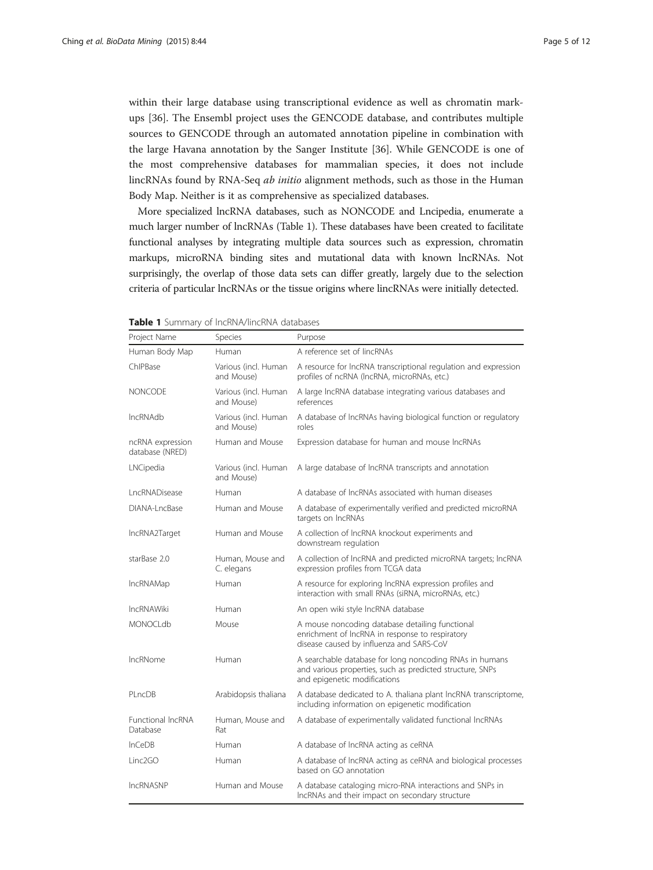within their large database using transcriptional evidence as well as chromatin markups [[36](#page-10-0)]. The Ensembl project uses the GENCODE database, and contributes multiple sources to GENCODE through an automated annotation pipeline in combination with the large Havana annotation by the Sanger Institute [\[36](#page-10-0)]. While GENCODE is one of the most comprehensive databases for mammalian species, it does not include lincRNAs found by RNA-Seq ab initio alignment methods, such as those in the Human Body Map. Neither is it as comprehensive as specialized databases.

More specialized lncRNA databases, such as NONCODE and Lncipedia, enumerate a much larger number of lncRNAs (Table 1). These databases have been created to facilitate functional analyses by integrating multiple data sources such as expression, chromatin markups, microRNA binding sites and mutational data with known lncRNAs. Not surprisingly, the overlap of those data sets can differ greatly, largely due to the selection criteria of particular lncRNAs or the tissue origins where lincRNAs were initially detected.

| Project Name                         | Species                            | Purpose                                                                                                                                              |  |  |
|--------------------------------------|------------------------------------|------------------------------------------------------------------------------------------------------------------------------------------------------|--|--|
| Human Body Map                       | Human                              | A reference set of lincRNAs                                                                                                                          |  |  |
| ChIPBase                             | Various (incl. Human<br>and Mouse) | A resource for lncRNA transcriptional regulation and expression<br>profiles of ncRNA (IncRNA, microRNAs, etc.)                                       |  |  |
| <b>NONCODE</b>                       | Various (incl. Human<br>and Mouse) | A large IncRNA database integrating various databases and<br>references                                                                              |  |  |
| <b>IncRNAdb</b>                      | Various (incl. Human<br>and Mouse) | A database of IncRNAs having biological function or regulatory<br>roles                                                                              |  |  |
| ncRNA expression<br>database (NRED)  | Human and Mouse                    | Expression database for human and mouse IncRNAs                                                                                                      |  |  |
| LNCipedia                            | Various (incl. Human<br>and Mouse) | A large database of lncRNA transcripts and annotation                                                                                                |  |  |
| IncRNADisease                        | Human                              | A database of IncRNAs associated with human diseases                                                                                                 |  |  |
| DIANA-LncBase                        | Human and Mouse                    | A database of experimentally verified and predicted microRNA<br>targets on IncRNAs                                                                   |  |  |
| IncRNA2Target                        | Human and Mouse                    | A collection of IncRNA knockout experiments and<br>downstream regulation                                                                             |  |  |
| starBase 2.0                         | Human, Mouse and<br>C. elegans     | A collection of lncRNA and predicted microRNA targets; lncRNA<br>expression profiles from TCGA data                                                  |  |  |
| IncRNAMap                            | Human                              | A resource for exploring lncRNA expression profiles and<br>interaction with small RNAs (siRNA, microRNAs, etc.)                                      |  |  |
| <b>IncRNAWiki</b>                    | Human                              | An open wiki style IncRNA database                                                                                                                   |  |  |
| MONOCI db                            | Mouse                              | A mouse noncoding database detailing functional<br>enrichment of lncRNA in response to respiratory<br>disease caused by influenza and SARS-CoV       |  |  |
| IncRNome                             | Human                              | A searchable database for long noncoding RNAs in humans<br>and various properties, such as predicted structure, SNPs<br>and epigenetic modifications |  |  |
| PLncDB                               | Arabidopsis thaliana               | A database dedicated to A. thaliana plant lncRNA transcriptome,<br>including information on epigenetic modification                                  |  |  |
| <b>Functional IncRNA</b><br>Database | Human, Mouse and<br>Rat            | A database of experimentally validated functional IncRNAs                                                                                            |  |  |
| <b>InCeDB</b>                        | Human                              | A database of IncRNA acting as ceRNA                                                                                                                 |  |  |
| line2GO                              | Human                              | A database of IncRNA acting as ceRNA and biological processes<br>based on GO annotation                                                              |  |  |
| <b>IncRNASNP</b>                     | Human and Mouse                    | A database cataloging micro-RNA interactions and SNPs in<br>IncRNAs and their impact on secondary structure                                          |  |  |

|  | Table 1 Summary of IncRNA/lincRNA databases |  |  |  |  |
|--|---------------------------------------------|--|--|--|--|
|--|---------------------------------------------|--|--|--|--|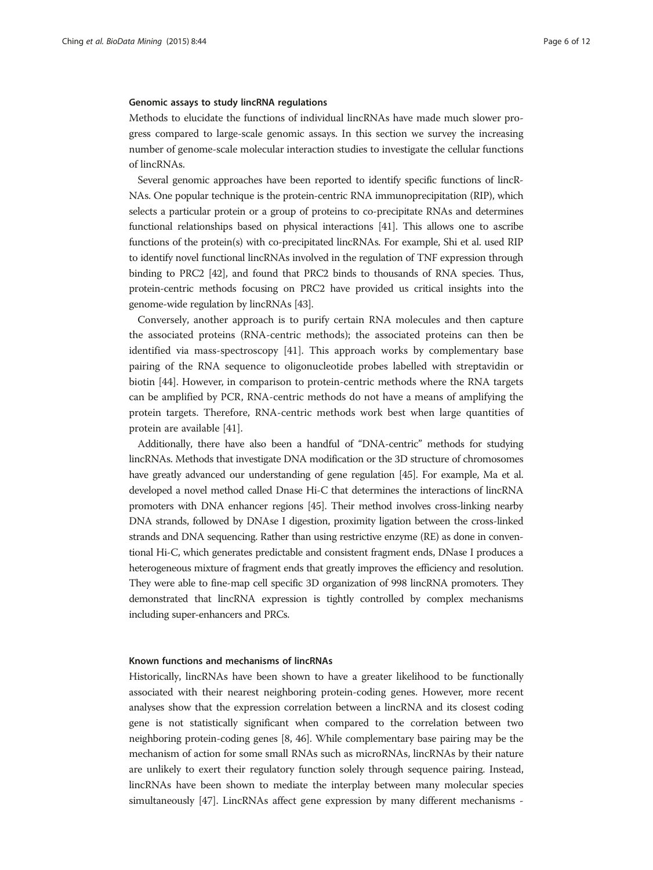#### Genomic assays to study lincRNA regulations

Methods to elucidate the functions of individual lincRNAs have made much slower progress compared to large-scale genomic assays. In this section we survey the increasing number of genome-scale molecular interaction studies to investigate the cellular functions of lincRNAs.

Several genomic approaches have been reported to identify specific functions of lincR-NAs. One popular technique is the protein-centric RNA immunoprecipitation (RIP), which selects a particular protein or a group of proteins to co-precipitate RNAs and determines functional relationships based on physical interactions [\[41\]](#page-10-0). This allows one to ascribe functions of the protein(s) with co-precipitated lincRNAs. For example, Shi et al. used RIP to identify novel functional lincRNAs involved in the regulation of TNF expression through binding to PRC2 [\[42\]](#page-10-0), and found that PRC2 binds to thousands of RNA species. Thus, protein-centric methods focusing on PRC2 have provided us critical insights into the genome-wide regulation by lincRNAs [[43\]](#page-10-0).

Conversely, another approach is to purify certain RNA molecules and then capture the associated proteins (RNA-centric methods); the associated proteins can then be identified via mass-spectroscopy [[41\]](#page-10-0). This approach works by complementary base pairing of the RNA sequence to oligonucleotide probes labelled with streptavidin or biotin [[44\]](#page-10-0). However, in comparison to protein-centric methods where the RNA targets can be amplified by PCR, RNA-centric methods do not have a means of amplifying the protein targets. Therefore, RNA-centric methods work best when large quantities of protein are available [\[41](#page-10-0)].

Additionally, there have also been a handful of "DNA-centric" methods for studying lincRNAs. Methods that investigate DNA modification or the 3D structure of chromosomes have greatly advanced our understanding of gene regulation [\[45](#page-10-0)]. For example, Ma et al. developed a novel method called Dnase Hi-C that determines the interactions of lincRNA promoters with DNA enhancer regions [[45](#page-10-0)]. Their method involves cross-linking nearby DNA strands, followed by DNAse I digestion, proximity ligation between the cross-linked strands and DNA sequencing. Rather than using restrictive enzyme (RE) as done in conventional Hi-C, which generates predictable and consistent fragment ends, DNase I produces a heterogeneous mixture of fragment ends that greatly improves the efficiency and resolution. They were able to fine-map cell specific 3D organization of 998 lincRNA promoters. They demonstrated that lincRNA expression is tightly controlled by complex mechanisms including super-enhancers and PRCs.

#### Known functions and mechanisms of lincRNAs

Historically, lincRNAs have been shown to have a greater likelihood to be functionally associated with their nearest neighboring protein-coding genes. However, more recent analyses show that the expression correlation between a lincRNA and its closest coding gene is not statistically significant when compared to the correlation between two neighboring protein-coding genes [[8](#page-9-0), [46](#page-10-0)]. While complementary base pairing may be the mechanism of action for some small RNAs such as microRNAs, lincRNAs by their nature are unlikely to exert their regulatory function solely through sequence pairing. Instead, lincRNAs have been shown to mediate the interplay between many molecular species simultaneously [\[47\]](#page-10-0). LincRNAs affect gene expression by many different mechanisms -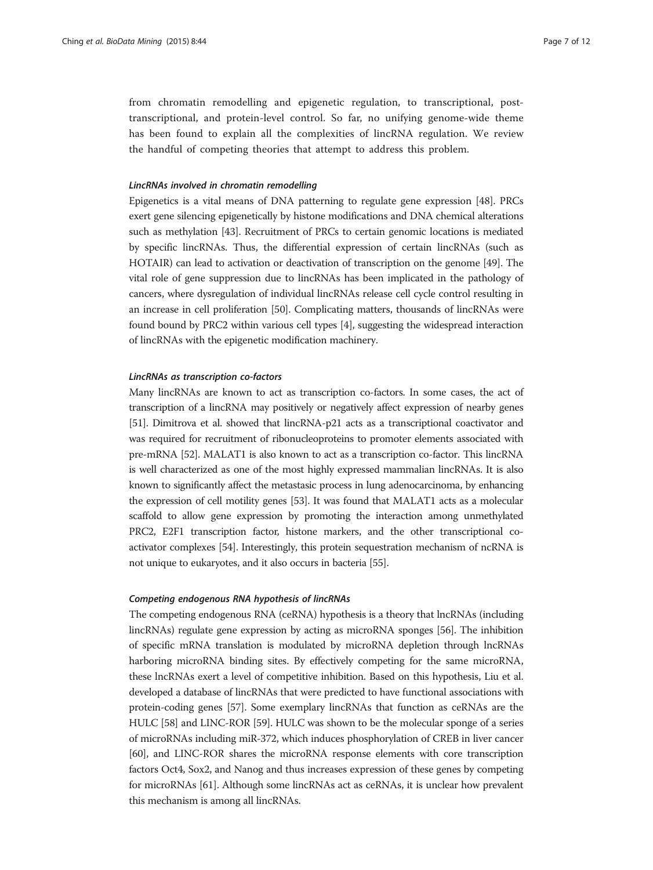from chromatin remodelling and epigenetic regulation, to transcriptional, posttranscriptional, and protein-level control. So far, no unifying genome-wide theme has been found to explain all the complexities of lincRNA regulation. We review the handful of competing theories that attempt to address this problem.

#### LincRNAs involved in chromatin remodelling

Epigenetics is a vital means of DNA patterning to regulate gene expression [\[48\]](#page-10-0). PRCs exert gene silencing epigenetically by histone modifications and DNA chemical alterations such as methylation [\[43\]](#page-10-0). Recruitment of PRCs to certain genomic locations is mediated by specific lincRNAs. Thus, the differential expression of certain lincRNAs (such as HOTAIR) can lead to activation or deactivation of transcription on the genome [\[49\]](#page-10-0). The vital role of gene suppression due to lincRNAs has been implicated in the pathology of cancers, where dysregulation of individual lincRNAs release cell cycle control resulting in an increase in cell proliferation [\[50](#page-10-0)]. Complicating matters, thousands of lincRNAs were found bound by PRC2 within various cell types [[4](#page-9-0)], suggesting the widespread interaction of lincRNAs with the epigenetic modification machinery.

#### LincRNAs as transcription co-factors

Many lincRNAs are known to act as transcription co-factors. In some cases, the act of transcription of a lincRNA may positively or negatively affect expression of nearby genes [[51](#page-10-0)]. Dimitrova et al. showed that lincRNA-p21 acts as a transcriptional coactivator and was required for recruitment of ribonucleoproteins to promoter elements associated with pre-mRNA [\[52\]](#page-10-0). MALAT1 is also known to act as a transcription co-factor. This lincRNA is well characterized as one of the most highly expressed mammalian lincRNAs. It is also known to significantly affect the metastasic process in lung adenocarcinoma, by enhancing the expression of cell motility genes [\[53\]](#page-10-0). It was found that MALAT1 acts as a molecular scaffold to allow gene expression by promoting the interaction among unmethylated PRC2, E2F1 transcription factor, histone markers, and the other transcriptional coactivator complexes [[54](#page-10-0)]. Interestingly, this protein sequestration mechanism of ncRNA is not unique to eukaryotes, and it also occurs in bacteria [\[55\]](#page-10-0).

#### Competing endogenous RNA hypothesis of lincRNAs

The competing endogenous RNA (ceRNA) hypothesis is a theory that lncRNAs (including lincRNAs) regulate gene expression by acting as microRNA sponges [\[56](#page-10-0)]. The inhibition of specific mRNA translation is modulated by microRNA depletion through lncRNAs harboring microRNA binding sites. By effectively competing for the same microRNA, these lncRNAs exert a level of competitive inhibition. Based on this hypothesis, Liu et al. developed a database of lincRNAs that were predicted to have functional associations with protein-coding genes [\[57\]](#page-10-0). Some exemplary lincRNAs that function as ceRNAs are the HULC [[58](#page-11-0)] and LINC-ROR [\[59\]](#page-11-0). HULC was shown to be the molecular sponge of a series of microRNAs including miR-372, which induces phosphorylation of CREB in liver cancer [[60](#page-11-0)], and LINC-ROR shares the microRNA response elements with core transcription factors Oct4, Sox2, and Nanog and thus increases expression of these genes by competing for microRNAs [\[61\]](#page-11-0). Although some lincRNAs act as ceRNAs, it is unclear how prevalent this mechanism is among all lincRNAs.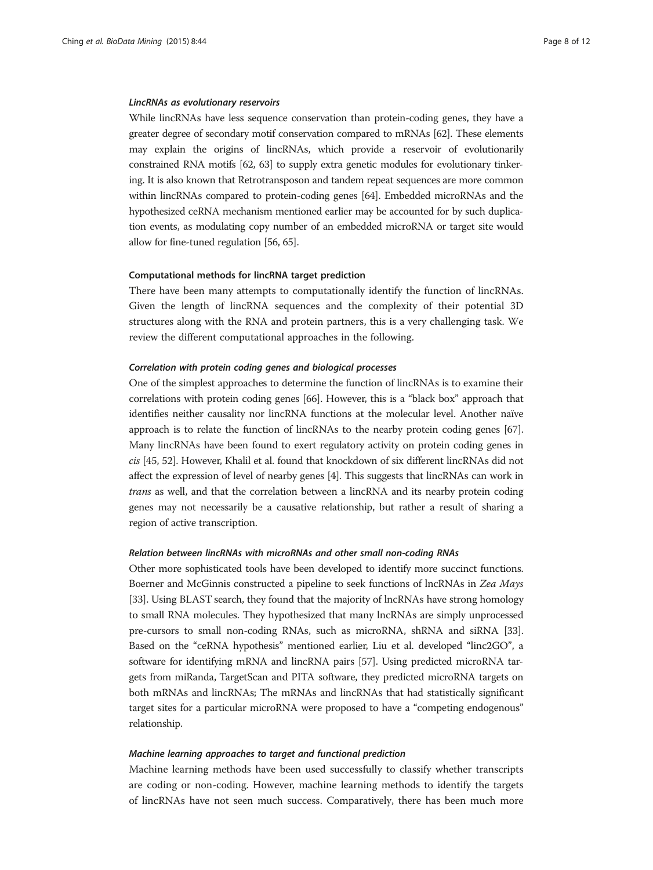#### LincRNAs as evolutionary reservoirs

While lincRNAs have less sequence conservation than protein-coding genes, they have a greater degree of secondary motif conservation compared to mRNAs [\[62\]](#page-11-0). These elements may explain the origins of lincRNAs, which provide a reservoir of evolutionarily constrained RNA motifs [\[62](#page-11-0), [63\]](#page-11-0) to supply extra genetic modules for evolutionary tinkering. It is also known that Retrotransposon and tandem repeat sequences are more common within lincRNAs compared to protein-coding genes [[64](#page-11-0)]. Embedded microRNAs and the hypothesized ceRNA mechanism mentioned earlier may be accounted for by such duplication events, as modulating copy number of an embedded microRNA or target site would allow for fine-tuned regulation [\[56](#page-10-0), [65](#page-11-0)].

#### Computational methods for lincRNA target prediction

There have been many attempts to computationally identify the function of lincRNAs. Given the length of lincRNA sequences and the complexity of their potential 3D structures along with the RNA and protein partners, this is a very challenging task. We review the different computational approaches in the following.

#### Correlation with protein coding genes and biological processes

One of the simplest approaches to determine the function of lincRNAs is to examine their correlations with protein coding genes [\[66](#page-11-0)]. However, this is a "black box" approach that identifies neither causality nor lincRNA functions at the molecular level. Another naïve approach is to relate the function of lincRNAs to the nearby protein coding genes [[67](#page-11-0)]. Many lincRNAs have been found to exert regulatory activity on protein coding genes in cis [\[45](#page-10-0), [52](#page-10-0)]. However, Khalil et al. found that knockdown of six different lincRNAs did not affect the expression of level of nearby genes [[4](#page-9-0)]. This suggests that lincRNAs can work in trans as well, and that the correlation between a lincRNA and its nearby protein coding genes may not necessarily be a causative relationship, but rather a result of sharing a region of active transcription.

#### Relation between lincRNAs with microRNAs and other small non-coding RNAs

Other more sophisticated tools have been developed to identify more succinct functions. Boerner and McGinnis constructed a pipeline to seek functions of lncRNAs in Zea Mays [[33](#page-10-0)]. Using BLAST search, they found that the majority of lncRNAs have strong homology to small RNA molecules. They hypothesized that many lncRNAs are simply unprocessed pre-cursors to small non-coding RNAs, such as microRNA, shRNA and siRNA [[33](#page-10-0)]. Based on the "ceRNA hypothesis" mentioned earlier, Liu et al. developed "linc2GO", a software for identifying mRNA and lincRNA pairs [\[57\]](#page-10-0). Using predicted microRNA targets from miRanda, TargetScan and PITA software, they predicted microRNA targets on both mRNAs and lincRNAs; The mRNAs and lincRNAs that had statistically significant target sites for a particular microRNA were proposed to have a "competing endogenous" relationship.

#### Machine learning approaches to target and functional prediction

Machine learning methods have been used successfully to classify whether transcripts are coding or non-coding. However, machine learning methods to identify the targets of lincRNAs have not seen much success. Comparatively, there has been much more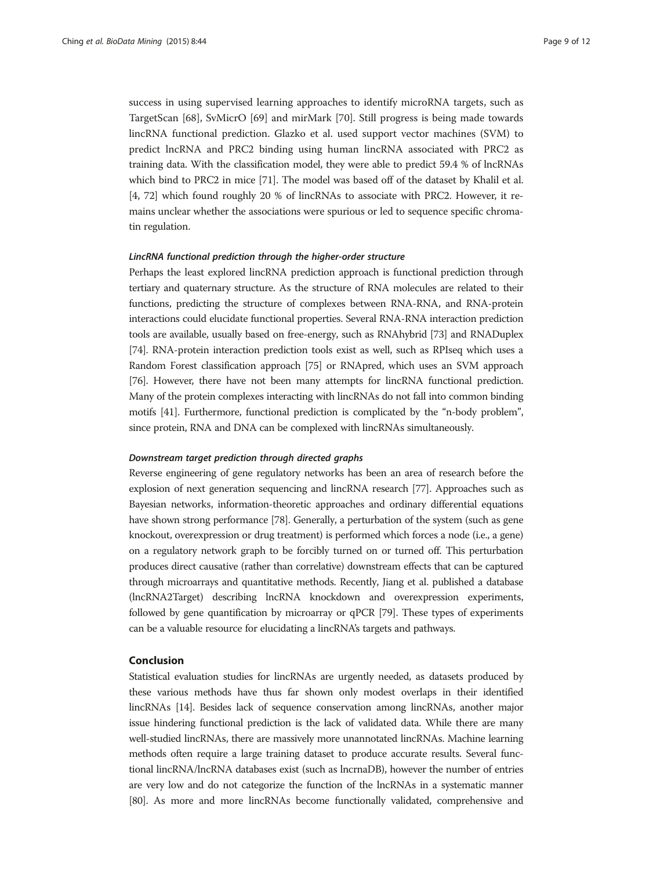success in using supervised learning approaches to identify microRNA targets, such as TargetScan [\[68](#page-11-0)], SvMicrO [\[69](#page-11-0)] and mirMark [\[70\]](#page-11-0). Still progress is being made towards lincRNA functional prediction. Glazko et al. used support vector machines (SVM) to predict lncRNA and PRC2 binding using human lincRNA associated with PRC2 as training data. With the classification model, they were able to predict 59.4 % of lncRNAs which bind to PRC2 in mice [\[71\]](#page-11-0). The model was based off of the dataset by Khalil et al. [[4,](#page-9-0) [72\]](#page-11-0) which found roughly 20 % of lincRNAs to associate with PRC2. However, it remains unclear whether the associations were spurious or led to sequence specific chromatin regulation.

#### LincRNA functional prediction through the higher-order structure

Perhaps the least explored lincRNA prediction approach is functional prediction through tertiary and quaternary structure. As the structure of RNA molecules are related to their functions, predicting the structure of complexes between RNA-RNA, and RNA-protein interactions could elucidate functional properties. Several RNA-RNA interaction prediction tools are available, usually based on free-energy, such as RNAhybrid [[73](#page-11-0)] and RNADuplex [[74](#page-11-0)]. RNA-protein interaction prediction tools exist as well, such as RPIseq which uses a Random Forest classification approach [\[75\]](#page-11-0) or RNApred, which uses an SVM approach [[76](#page-11-0)]. However, there have not been many attempts for lincRNA functional prediction. Many of the protein complexes interacting with lincRNAs do not fall into common binding motifs [\[41\]](#page-10-0). Furthermore, functional prediction is complicated by the "n-body problem", since protein, RNA and DNA can be complexed with lincRNAs simultaneously.

#### Downstream target prediction through directed graphs

Reverse engineering of gene regulatory networks has been an area of research before the explosion of next generation sequencing and lincRNA research [\[77\]](#page-11-0). Approaches such as Bayesian networks, information-theoretic approaches and ordinary differential equations have shown strong performance [\[78\]](#page-11-0). Generally, a perturbation of the system (such as gene knockout, overexpression or drug treatment) is performed which forces a node (i.e., a gene) on a regulatory network graph to be forcibly turned on or turned off. This perturbation produces direct causative (rather than correlative) downstream effects that can be captured through microarrays and quantitative methods. Recently, Jiang et al. published a database (lncRNA2Target) describing lncRNA knockdown and overexpression experiments, followed by gene quantification by microarray or qPCR [[79](#page-11-0)]. These types of experiments can be a valuable resource for elucidating a lincRNA's targets and pathways.

#### Conclusion

Statistical evaluation studies for lincRNAs are urgently needed, as datasets produced by these various methods have thus far shown only modest overlaps in their identified lincRNAs [\[14\]](#page-9-0). Besides lack of sequence conservation among lincRNAs, another major issue hindering functional prediction is the lack of validated data. While there are many well-studied lincRNAs, there are massively more unannotated lincRNAs. Machine learning methods often require a large training dataset to produce accurate results. Several functional lincRNA/lncRNA databases exist (such as lncrnaDB), however the number of entries are very low and do not categorize the function of the lncRNAs in a systematic manner [[80](#page-11-0)]. As more and more lincRNAs become functionally validated, comprehensive and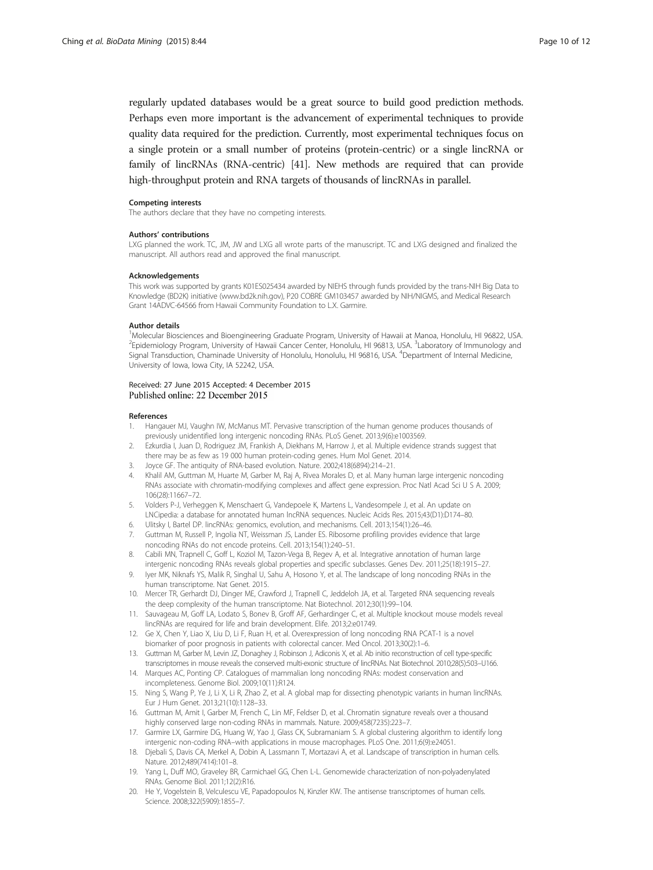<span id="page-9-0"></span>regularly updated databases would be a great source to build good prediction methods. Perhaps even more important is the advancement of experimental techniques to provide quality data required for the prediction. Currently, most experimental techniques focus on a single protein or a small number of proteins (protein-centric) or a single lincRNA or family of lincRNAs (RNA-centric) [\[41\]](#page-10-0). New methods are required that can provide high-throughput protein and RNA targets of thousands of lincRNAs in parallel.

#### Competing interests

The authors declare that they have no competing interests.

#### Authors' contributions

LXG planned the work. TC, JM, JW and LXG all wrote parts of the manuscript. TC and LXG designed and finalized the manuscript. All authors read and approved the final manuscript.

#### Acknowledgements

This work was supported by grants K01ES025434 awarded by NIEHS through funds provided by the trans-NIH Big Data to Knowledge (BD2K) initiative [\(www.bd2k.nih.gov](http://www.bd2k.nih.gov)), P20 COBRE GM103457 awarded by NIH/NIGMS, and Medical Research Grant 14ADVC-64566 from Hawaii Community Foundation to L.X. Garmire.

#### Author details

<sup>1</sup>Molecular Biosciences and Bioengineering Graduate Program, University of Hawaii at Manoa, Honolulu, HI 96822, USA <sup>2</sup>Epidemiology Program, University of Hawaii Cancer Center, Honolulu, HI 96813, USA. <sup>3</sup>Laboratory of Immunology and Signal Transduction, Chaminade University of Honolulu, Honolulu, HI 96816, USA. <sup>4</sup>Department of Internal Medicine, University of Iowa, Iowa City, IA 52242, USA.

### Received: 27 June 2015 Accepted: 4 December 2015<br>Published online: 22 December 2015

#### References

- 1. Hangauer MJ, Vaughn IW, McManus MT. Pervasive transcription of the human genome produces thousands of previously unidentified long intergenic noncoding RNAs. PLoS Genet. 2013;9(6):e1003569.
- Ezkurdia I, Juan D, Rodriguez JM, Frankish A, Diekhans M, Harrow J, et al. Multiple evidence strands suggest that there may be as few as 19 000 human protein-coding genes. Hum Mol Genet. 2014.
- 3. Joyce GF. The antiquity of RNA-based evolution. Nature. 2002;418(6894):214–21.
- 4. Khalil AM, Guttman M, Huarte M, Garber M, Raj A, Rivea Morales D, et al. Many human large intergenic noncoding RNAs associate with chromatin-modifying complexes and affect gene expression. Proc Natl Acad Sci U S A. 2009; 106(28):11667–72.
- 5. Volders P-J, Verheggen K, Menschaert G, Vandepoele K, Martens L, Vandesompele J, et al. An update on LNCipedia: a database for annotated human lncRNA sequences. Nucleic Acids Res. 2015;43(D1):D174–80.
- 6. Ulitsky I, Bartel DP. lincRNAs: genomics, evolution, and mechanisms. Cell. 2013;154(1):26–46.
- 7. Guttman M, Russell P, Ingolia NT, Weissman JS, Lander ES. Ribosome profiling provides evidence that large noncoding RNAs do not encode proteins. Cell. 2013;154(1):240–51.
- 8. Cabili MN, Trapnell C, Goff L, Koziol M, Tazon-Vega B, Regev A, et al. Integrative annotation of human large intergenic noncoding RNAs reveals global properties and specific subclasses. Genes Dev. 2011;25(18):1915–27.
- Iyer MK, Niknafs YS, Malik R, Singhal U, Sahu A, Hosono Y, et al. The landscape of long noncoding RNAs in the human transcriptome. Nat Genet. 2015.
- 10. Mercer TR, Gerhardt DJ, Dinger ME, Crawford J, Trapnell C, Jeddeloh JA, et al. Targeted RNA sequencing reveals the deep complexity of the human transcriptome. Nat Biotechnol. 2012;30(1):99–104.
- 11. Sauvageau M, Goff LA, Lodato S, Bonev B, Groff AF, Gerhardinger C, et al. Multiple knockout mouse models reveal lincRNAs are required for life and brain development. Elife. 2013;2:e01749.
- 12. Ge X, Chen Y, Liao X, Liu D, Li F, Ruan H, et al. Overexpression of long noncoding RNA PCAT-1 is a novel biomarker of poor prognosis in patients with colorectal cancer. Med Oncol. 2013;30(2):1–6.
- 13. Guttman M, Garber M, Levin JZ, Donaghey J, Robinson J, Adiconis X, et al. Ab initio reconstruction of cell type-specific transcriptomes in mouse reveals the conserved multi-exonic structure of lincRNAs. Nat Biotechnol. 2010;28(5):503–U166.
- 14. Marques AC, Ponting CP. Catalogues of mammalian long noncoding RNAs: modest conservation and incompleteness. Genome Biol. 2009;10(11):R124.
- 15. Ning S, Wang P, Ye J, Li X, Li R, Zhao Z, et al. A global map for dissecting phenotypic variants in human lincRNAs. Eur J Hum Genet. 2013;21(10):1128–33.
- 16. Guttman M, Amit I, Garber M, French C, Lin MF, Feldser D, et al. Chromatin signature reveals over a thousand highly conserved large non-coding RNAs in mammals. Nature. 2009;458(7235):223–7.
- 17. Garmire LX, Garmire DG, Huang W, Yao J, Glass CK, Subramaniam S. A global clustering algorithm to identify long intergenic non-coding RNA–with applications in mouse macrophages. PLoS One. 2011;6(9):e24051.
- 18. Djebali S, Davis CA, Merkel A, Dobin A, Lassmann T, Mortazavi A, et al. Landscape of transcription in human cells. Nature. 2012;489(7414):101–8.
- 19. Yang L, Duff MO, Graveley BR, Carmichael GG, Chen L-L. Genomewide characterization of non-polyadenylated RNAs. Genome Biol. 2011;12(2):R16.
- 20. He Y, Vogelstein B, Velculescu VE, Papadopoulos N, Kinzler KW. The antisense transcriptomes of human cells. Science. 2008;322(5909):1855–7.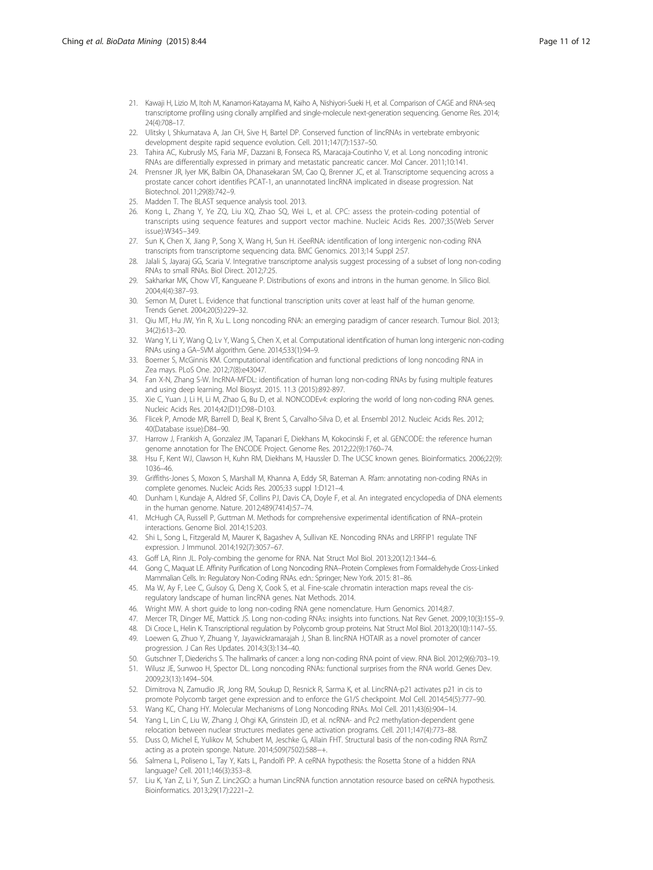- <span id="page-10-0"></span>21. Kawaji H, Lizio M, Itoh M, Kanamori-Katayama M, Kaiho A, Nishiyori-Sueki H, et al. Comparison of CAGE and RNA-seq transcriptome profiling using clonally amplified and single-molecule next-generation sequencing. Genome Res. 2014; 24(4):708–17.
- 22. Ulitsky I, Shkumatava A, Jan CH, Sive H, Bartel DP. Conserved function of lincRNAs in vertebrate embryonic development despite rapid sequence evolution. Cell. 2011;147(7):1537–50.
- 23. Tahira AC, Kubrusly MS, Faria MF, Dazzani B, Fonseca RS, Maracaja-Coutinho V, et al. Long noncoding intronic RNAs are differentially expressed in primary and metastatic pancreatic cancer. Mol Cancer. 2011;10:141.
- 24. Prensner JR, Iyer MK, Balbin OA, Dhanasekaran SM, Cao Q, Brenner JC, et al. Transcriptome sequencing across a prostate cancer cohort identifies PCAT-1, an unannotated lincRNA implicated in disease progression. Nat Biotechnol. 2011;29(8):742–9.
- 25. Madden T. The BLAST sequence analysis tool. 2013.
- 26. Kong L, Zhang Y, Ye ZQ, Liu XQ, Zhao SQ, Wei L, et al. CPC: assess the protein-coding potential of transcripts using sequence features and support vector machine. Nucleic Acids Res. 2007;35(Web Server issue):W345–349.
- 27. Sun K, Chen X, Jiang P, Song X, Wang H, Sun H. iSeeRNA: identification of long intergenic non-coding RNA transcripts from transcriptome sequencing data. BMC Genomics. 2013;14 Suppl 2:S7.
- 28. Jalali S, Jayaraj GG, Scaria V. Integrative transcriptome analysis suggest processing of a subset of long non-coding RNAs to small RNAs. Biol Direct. 2012;7:25.
- 29. Sakharkar MK, Chow VT, Kangueane P. Distributions of exons and introns in the human genome. In Silico Biol. 2004;4(4):387–93.
- 30. Semon M, Duret L. Evidence that functional transcription units cover at least half of the human genome. Trends Genet. 2004;20(5):229–32.
- 31. Qiu MT, Hu JW, Yin R, Xu L. Long noncoding RNA: an emerging paradigm of cancer research. Tumour Biol. 2013; 34(2):613–20.
- 32. Wang Y, Li Y, Wang Q, Lv Y, Wang S, Chen X, et al. Computational identification of human long intergenic non-coding RNAs using a GA–SVM algorithm. Gene. 2014;533(1):94–9.
- 33. Boerner S, McGinnis KM. Computational identification and functional predictions of long noncoding RNA in Zea mays. PLoS One. 2012;7(8):e43047.
- 34. Fan X-N, Zhang S-W. lncRNA-MFDL: identification of human long non-coding RNAs by fusing multiple features and using deep learning. Mol Biosyst. 2015. 11.3 (2015):892-897.
- 35. Xie C, Yuan J, Li H, Li M, Zhao G, Bu D, et al. NONCODEv4: exploring the world of long non-coding RNA genes. Nucleic Acids Res. 2014;42(D1):D98–D103.
- 36. Flicek P, Amode MR, Barrell D, Beal K, Brent S, Carvalho-Silva D, et al. Ensembl 2012. Nucleic Acids Res. 2012; 40(Database issue):D84–90.
- 37. Harrow J, Frankish A, Gonzalez JM, Tapanari E, Diekhans M, Kokocinski F, et al. GENCODE: the reference human genome annotation for The ENCODE Project. Genome Res. 2012;22(9):1760–74.
- Hsu F, Kent WJ, Clawson H, Kuhn RM, Diekhans M, Haussler D. The UCSC known genes. Bioinformatics. 2006;22(9): 1036–46.
- 39. Griffiths-Jones S, Moxon S, Marshall M, Khanna A, Eddy SR, Bateman A. Rfam: annotating non-coding RNAs in complete genomes. Nucleic Acids Res. 2005;33 suppl 1:D121–4.
- 40. Dunham I, Kundaje A, Aldred SF, Collins PJ, Davis CA, Doyle F, et al. An integrated encyclopedia of DNA elements in the human genome. Nature. 2012;489(7414):57–74.
- 41. McHugh CA, Russell P, Guttman M. Methods for comprehensive experimental identification of RNA–protein interactions. Genome Biol. 2014;15:203.
- 42. Shi L, Song L, Fitzgerald M, Maurer K, Bagashev A, Sullivan KE. Noncoding RNAs and LRRFIP1 regulate TNF expression. J Immunol. 2014;192(7):3057–67.
- 43. Goff LA, Rinn JL. Poly-combing the genome for RNA. Nat Struct Mol Biol. 2013;20(12):1344–6.
- 44. Gong C, Maquat LE. Affinity Purification of Long Noncoding RNA–Protein Complexes from Formaldehyde Cross-Linked Mammalian Cells. In: Regulatory Non-Coding RNAs. edn.: Springer; New York. 2015: 81–86.
- 45. Ma W, Ay F, Lee C, Gulsoy G, Deng X, Cook S, et al. Fine-scale chromatin interaction maps reveal the cisregulatory landscape of human lincRNA genes. Nat Methods. 2014.
- 46. Wright MW. A short guide to long non-coding RNA gene nomenclature. Hum Genomics. 2014;8:7
- 47. Mercer TR, Dinger ME, Mattick JS. Long non-coding RNAs: insights into functions. Nat Rev Genet. 2009;10(3):155–9.
- 48. Di Croce L, Helin K. Transcriptional regulation by Polycomb group proteins. Nat Struct Mol Biol. 2013;20(10):1147–55.
- 49. Loewen G, Zhuo Y, Zhuang Y, Jayawickramarajah J, Shan B. lincRNA HOTAIR as a novel promoter of cancer progression. J Can Res Updates. 2014;3(3):134–40.
- 50. Gutschner T, Diederichs S. The hallmarks of cancer: a long non-coding RNA point of view. RNA Biol. 2012;9(6):703–19.
- 51. Wilusz JE, Sunwoo H, Spector DL. Long noncoding RNAs: functional surprises from the RNA world. Genes Dev. 2009;23(13):1494–504.
- 52. Dimitrova N, Zamudio JR, Jong RM, Soukup D, Resnick R, Sarma K, et al. LincRNA-p21 activates p21 in cis to promote Polycomb target gene expression and to enforce the G1/S checkpoint. Mol Cell. 2014;54(5):777–90.
- 53. Wang KC, Chang HY. Molecular Mechanisms of Long Noncoding RNAs. Mol Cell. 2011;43(6):904–14.
- 54. Yang L, Lin C, Liu W, Zhang J, Ohgi KA, Grinstein JD, et al. ncRNA- and Pc2 methylation-dependent gene
- relocation between nuclear structures mediates gene activation programs. Cell. 2011;147(4):773–88. 55. Duss O, Michel E, Yulikov M, Schubert M, Jeschke G, Allain FHT. Structural basis of the non-coding RNA RsmZ acting as a protein sponge. Nature. 2014;509(7502):588−+.
- 56. Salmena L, Poliseno L, Tay Y, Kats L, Pandolfi PP. A ceRNA hypothesis: the Rosetta Stone of a hidden RNA language? Cell. 2011;146(3):353–8.
- 57. Liu K, Yan Z, Li Y, Sun Z. Linc2GO: a human LincRNA function annotation resource based on ceRNA hypothesis. Bioinformatics. 2013;29(17):2221–2.